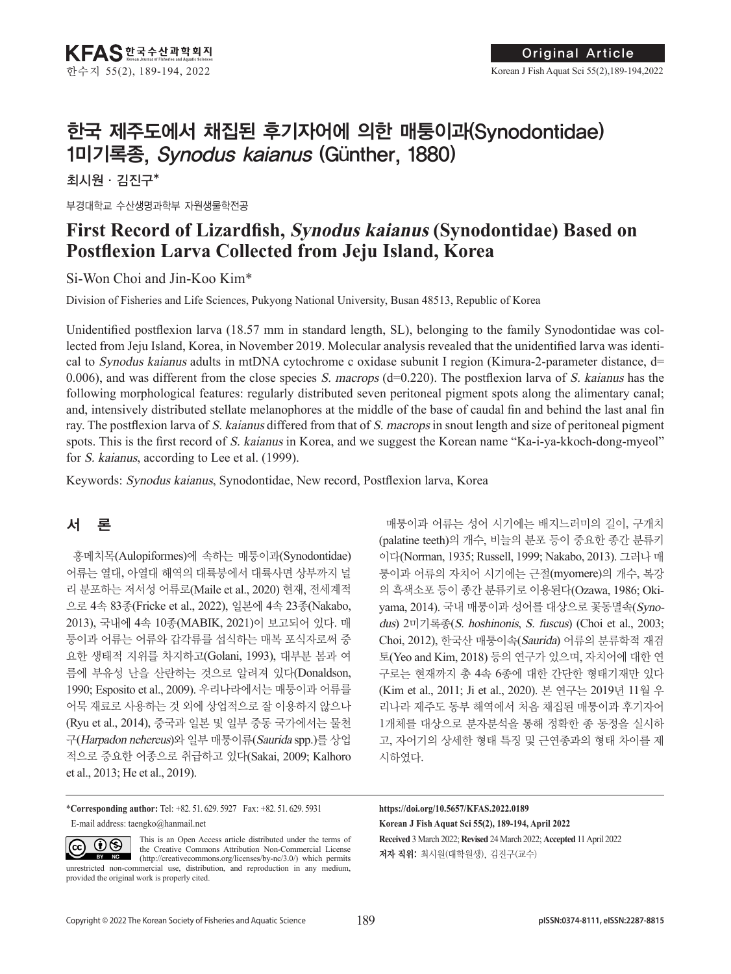# 한국 제주도에서 채집된 후기자어에 의한 매퉁이과(Synodontidae) 1미기록종, Synodus kaianus (Günther, 1880)

최시원·김진구\*

부경대학교 수산생명과학부 자원생물학전공

## **First Record of Lizardfish, Synodus kaianus (Synodontidae) Based on Postflexion Larva Collected from Jeju Island, Korea**

Si-Won Choi and Jin-Koo Kim\*

Division of Fisheries and Life Sciences, Pukyong National University, Busan 48513, Republic of Korea

Unidentified postflexion larva (18.57 mm in standard length, SL), belonging to the family Synodontidae was collected from Jeju Island, Korea, in November 2019. Molecular analysis revealed that the unidentified larva was identical to Synodus kaianus adults in mtDNA cytochrome c oxidase subunit I region (Kimura-2-parameter distance, d= 0.006), and was different from the close species S. macrops ( $d=0.220$ ). The postflexion larva of S. kaianus has the following morphological features: regularly distributed seven peritoneal pigment spots along the alimentary canal; and, intensively distributed stellate melanophores at the middle of the base of caudal fin and behind the last anal fin ray. The postflexion larva of S. kaianus differed from that of S. macrops in snout length and size of peritoneal pigment spots. This is the first record of S. kaianus in Korea, and we suggest the Korean name "Ka-i-ya-kkoch-dong-myeol" for S. kaianus, according to Lee et al. (1999).

Keywords: Synodus kaianus, Synodontidae, New record, Postflexion larva, Korea

## 서 론

홍메치목(Aulopiformes)에 속하는 매퉁이과(Synodontidae) 어류는 열대, 아열대 해역의 대륙붕에서 대륙사면 상부까지 널 리 분포하는 저서성 어류로(Maile et al., 2020) 현재, 전세계적 으로 4속 83종(Fricke et al., 2022), 일본에 4속 23종(Nakabo, 2013), 국내에 4속 10종(MABIK, 2021)이 보고되어 있다. 매 퉁이과 어류는 어류와 갑각류를 섭식하는 매복 포식자로써 중 요한 생태적 지위를 차지하고(Golani, 1993), 대부분 봄과 여 름에 부유성 난을 산란하는 것으로 알려져 있다(Donaldson, 1990; Esposito et al., 2009). 우리나라에서는 매퉁이과 어류를 어묵 재료로 사용하는 것 외에 상업적으로 잘 이용하지 않으나 (Ryu et al., 2014), 중국과 일본 및 일부 중동 국가에서는 물천 구(Harpadon nehereus)와 일부 매퉁이류(Saurida spp.)를 상업 적으로 중요한 어종으로 취급하고 있다(Sakai, 2009; Kalhoro et al., 2013; He et al., 2019).

매퉁이과 어류는 성어 시기에는 배지느러미의 길이, 구개치 (palatine teeth)의 개수, 비늘의 분포 등이 중요한 종간 분류키 이다(Norman, 1935; Russell, 1999; Nakabo, 2013). 그러나 매 퉁이과 어류의 자치어 시기에는 근절(myomere)의 개수, 복강 의 흑색소포 등이 종간 분류키로 이용된다(Ozawa, 1986; Okiyama, 2014). 국내 매퉁이과 성어를 대상으로 꽃동멸속(Synodus) 2미기록종(S. hoshinonis, S. fuscus) (Choi et al., 2003; Choi, 2012), 한국산 매퉁이속(Saurida) 어류의 분류학적 재검 토(Yeo and Kim, 2018) 등의 연구가 있으며, 자치어에 대한 연 구로는 현재까지 총 4속 6종에 대한 간단한 형태기재만 있다 (Kim et al., 2011; Ji et al., 2020). 본 연구는 2019년 11월 우 리나라 제주도 동부 해역에서 처음 채집된 매퉁이과 후기자어 1개체를 대상으로 분자분석을 통해 정확한 종 동정을 실시하 고, 자어기의 상세한 형태 특징 및 근연종과의 형태 차이를 제 시하였다.

\***Corresponding author:** Tel: +82. 51. 629. 5927 Fax: +82. 51. 629. 5931 E-mail address: taengko@hanmail.net

 $\odot$  $(cc)$ BY NC

This is an Open Access article distributed under the terms of the Creative Commons Attribution Non-Commercial License (http://creativecommons.org/licenses/by-nc/3.0/) which permits unrestricted non-commercial use, distribution, and reproduction in any medium, provided the original work is properly cited.

**Received** 3 March 2022; **Revised** 24 March 2022; **Accepted** 11 April 2022 저자 직위: 최시원(대학원생), 김진구(교수) **https://doi.org/10.5657/KFAS.2022.0189 Korean J Fish Aquat Sci 55(2), 189-194, April 2022**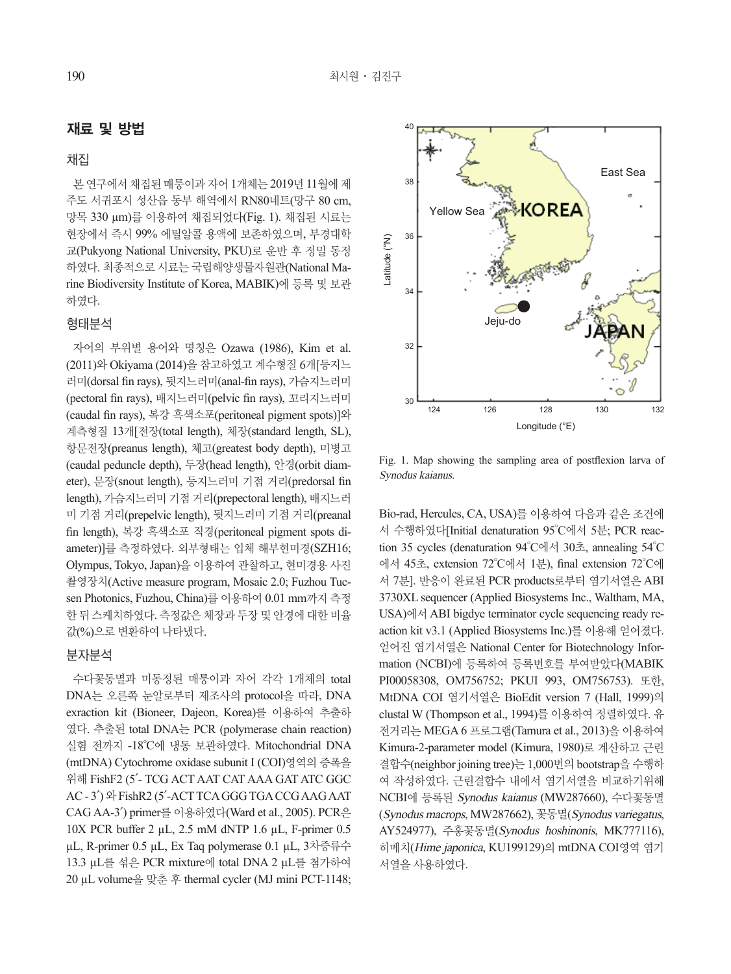## 재료 및 방법

#### 채집

본 연구에서 채집된 매퉁이과 자어 1개체는 2019년 11월에 제 주도 서귀포시 성산읍 동부 해역에서 RN80네트(망구 80 cm, 망목 330 µm)를 이용하여 채집되었다(Fig. 1). 채집된 시료는 현장에서 즉시 99% 에틸알콜 용액에 보존하였으며, 부경대학 교(Pukyong National University, PKU)로 운반 후 정밀 동정 하였다. 최종적으로 시료는 국립해양생물자원관(National Marine Biodiversity Institute of Korea, MABIK)에 등록 및 보관 하였다.

## 형태분석

자어의 부위별 용어와 명칭은 Ozawa (1986), Kim et al. (2011)와 Okiyama (2014)을 참고하였고 계수형질 6개[등지느 러미(dorsal fin rays), 뒷지느러미(anal-fin rays), 가슴지느러미 (pectoral fin rays), 배지느러미(pelvic fin rays), 꼬리지느러미 (caudal fin rays), 복강 흑색소포(peritoneal pigment spots)]와 계측형질 13개[전장(total length), 체장(standard length, SL), 항문전장(preanus length), 체고(greatest body depth), 미병고 (caudal peduncle depth), 두장(head length), 안경(orbit diameter), 문장(snout length), 등지느러미 기점 거리(predorsal fin length), 가슴지느러미 기점 거리(prepectoral length), 배지느러 미 기점 거리(prepelvic length), 뒷지느러미 기점 거리(preanal fin length), 복강 흑색소포 직경(peritoneal pigment spots diameter)]를 측정하였다. 외부형태는 입체 해부현미경(SZH16; Olympus, Tokyo, Japan)을 이용하여 관찰하고, 현미경용 사진 촬영장치(Active measure program, Mosaic 2.0; Fuzhou Tucsen Photonics, Fuzhou, China)를 이용하여 0.01 mm까지 측정 한 뒤 스케치하였다. 측정값은 체장과 두장 및 안경에 대한 비율 값(%)으로 변환하여 나타냈다.

#### 분자분석

수다꽃동멸과 미동정된 매퉁이과 자어 각각 1개체의 total DNA는 오른쪽 눈알로부터 제조사의 protocol을 따라, DNA exraction kit (Bioneer, Dajeon, Korea)를 이용하여 추출하 였다. 추출된 total DNA는 PCR (polymerase chain reaction) 실험 전까지 -18°C에 냉동 보관하였다. Mitochondrial DNA (mtDNA) Cytochrome oxidase subunit I (COI)영역의 증폭을 위해 FishF2 (5′- TCG ACT AAT CAT AAA GAT ATC GGC AC - 3′) 와 FishR2 (5′-ACT TCA GGG TGA CCG AAG AAT CAG AA-3′) primer를 이용하였다(Ward et al., 2005). PCR은 10X PCR buffer 2 µL, 2.5 mM dNTP 1.6 µL, F-primer 0.5 µL, R-primer 0.5 µL, Ex Taq polymerase 0.1 µL, 3차증류수 13.3 µL를 섞은 PCR mixture에 total DNA 2 µL를 첨가하여 20 µL volume을 맞춘 후 thermal cycler (MJ mini PCT-1148;



Fig. 1. Map showing the sampling area of postflexion larva of Synodus kaianus.

Bio-rad, Hercules, CA, USA)를 이용하여 다음과 같은 조건에 서 수행하였다[Initial denaturation 95°C에서 5분; PCR reaction 35 cycles (denaturation 94°C에서 30초, annealing 54°C 에서 45초, extension 72°C에서 1분), final extension 72°C에 (B)서 7분]. 반응이 완료된 PCR products로부터 염기서열은 ABI 3730XL sequencer (Applied Biosystems Inc., Waltham, MA, USA)에서 ABI bigdye terminator cycle sequencing ready reaction kit v3.1 (Applied Biosystems Inc.)를 이용해 얻어졌다. 얻어진 염기서열은 National Center for Biotechnology Information (NCBI)에 등록하여 등록번호를 부여받았다(MABIK PI00058308, OM756752; PKUI 993, OM756753). 또한, MtDNA COI 염기서열은 BioEdit version 7 (Hall, 1999)의 clustal W (Thompson et al., 1994)를 이용하여 정렬하였다. 유 전거리는 MEGA 6 프로그램(Tamura et al., 2013)을 이용하여 Kimura-2-parameter model (Kimura, 1980)로 계산하고 근린 결합수(neighbor joining tree)는 1,000번의 bootstrap을 수행하 여 작성하였다. 근린결합수 내에서 염기서열을 비교하기위해 NCBI에 등록된 Synodus kaianus (MW287660), 수다꽃동멸 (Synodus macrops, MW287662), 꽃동멸(Synodus variegatus, AY524977), 주홍꽃동멸(Synodus hoshinonis, MK777116), 히메치(*Hime japonica*, KU199129)의 mtDNA COI영역 염기 서열을 사용하였다. 40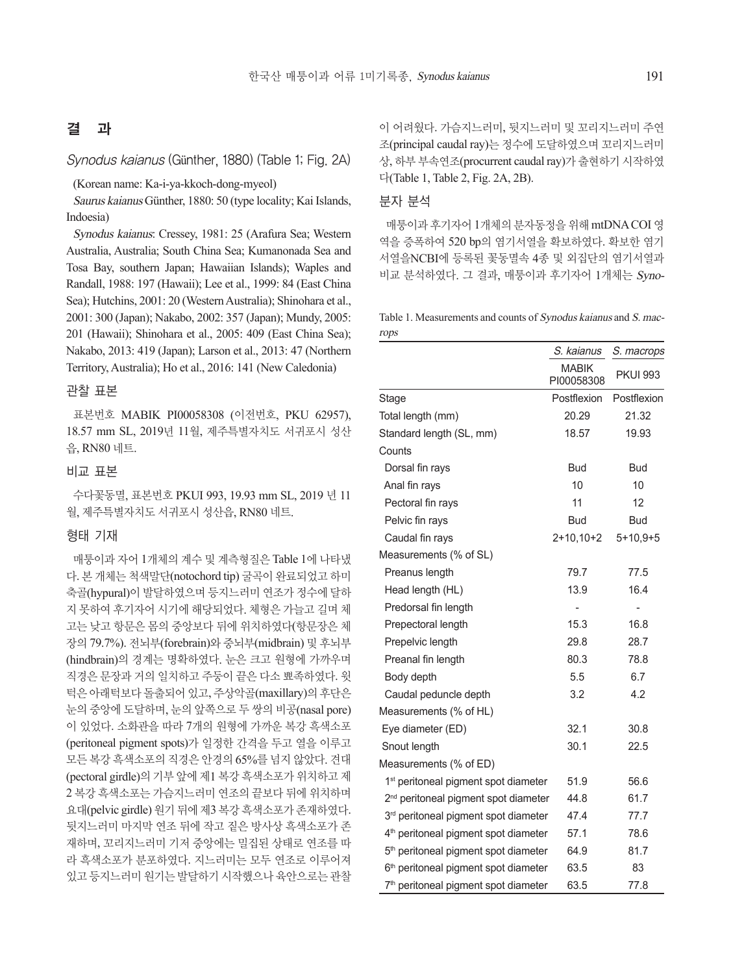## 결 과

#### Synodus kaianus (Günther, 1880) (Table 1; Fig. 2A)

(Korean name: Ka-i-ya-kkoch-dong-myeol)

Saurus kaianus Günther, 1880: 50 (type locality; Kai Islands, Indoesia)

Synodus kaianus: Cressey, 1981: 25 (Arafura Sea; Western Australia, Australia; South China Sea; Kumanonada Sea and Tosa Bay, southern Japan; Hawaiian Islands); Waples and Randall, 1988: 197 (Hawaii); Lee et al., 1999: 84 (East China Sea); Hutchins, 2001: 20 (Western Australia); Shinohara et al., 2001: 300 (Japan); Nakabo, 2002: 357 (Japan); Mundy, 2005: 201 (Hawaii); Shinohara et al., 2005: 409 (East China Sea); Nakabo, 2013: 419 (Japan); Larson et al., 2013: 47 (Northern Territory, Australia); Ho et al., 2016: 141 (New Caledonia)

#### 관찰 표본

표본번호 MABIK PI00058308 (이전번호, PKU 62957), 18.57 mm SL, 2019년 11월, 제주특별자치도 서귀포시 성산 읍, RN80 네트.

#### 비교 표본

수다꽃동멸, 표본번호 PKUI 993, 19.93 mm SL, 2019 년 11 월, 제주특별자치도 서귀포시 성산읍, RN80 네트.

#### 형태 기재

매퉁이과 자어 1개체의 계수 및 계측형질은 Table 1에 나타냈 다. 본 개체는 척색말단(notochord tip) 굴곡이 완료되었고 하미 축골(hypural)이 발달하였으며 등지느러미 연조가 정수에 달하 지 못하여 후기자어 시기에 해당되었다. 체형은 가늘고 길며 체 고는 낮고 항문은 몸의 중앙보다 뒤에 위치하였다(항문장은 체 장의 79.7%). 전뇌부(forebrain)와 중뇌부(midbrain) 및 후뇌부 (hindbrain)의 경계는 명확하였다. 눈은 크고 원형에 가까우며 직경은 문장과 거의 일치하고 주둥이 끝은 다소 뾰족하였다. 윗 턱은 아래턱보다 돌출되어 있고, 주상악골(maxillary)의 후단은 눈의 중앙에 도달하며, 눈의 앞쪽으로 두 쌍의 비공(nasal pore) 이 있었다. 소화관을 따라 7개의 원형에 가까운 복강 흑색소포 (peritoneal pigment spots)가 일정한 간격을 두고 열을 이루고 모든 복강 흑색소포의 직경은 안경의 65%를 넘지 않았다. 견대 (pectoral girdle)의 기부 앞에 제1 복강 흑색소포가 위치하고 제 2 복강 흑색소포는 가슴지느러미 연조의 끝보다 뒤에 위치하며 요대(pelvic girdle) 원기 뒤에 제3 복강 흑색소포가 존재하였다. 뒷지느러미 마지막 연조 뒤에 작고 짙은 방사상 흑색소포가 존 재하며, 꼬리지느러미 기저 중앙에는 밀집된 상태로 연조를 따 라 흑색소포가 분포하였다. 지느러미는 모두 연조로 이루어져 있고 등지느러미 원기는 발달하기 시작했으나 육안으로는 관찰

이 어려웠다. 가슴지느러미, 뒷지느러미 및 꼬리지느러미 주연 조(principal caudal ray)는 정수에 도달하였으며 꼬리지느러미 상, 하부 부속연조(procurrent caudal ray)가 출현하기 시작하였 다(Table 1, Table 2, Fig. 2A, 2B).

#### 분자 분석

매퉁이과 후기자어 1개체의 분자동정을 위해 mtDNA COI 영 역을 증폭하여 520 bp의 염기서열을 확보하였다. 확보한 염기 서열을NCBI에 등록된 꽃동멸속 4종 및 외집단의 염기서열과 비교 분석하였다. 그 결과, 매퉁이과 후기자어 1개체는 Syno-

Table 1. Measurements and counts of Synodus kaianus and S. macrops

|                                                  | S. kaianus                 | S. macrops<br><b>PKUI 993</b> |
|--------------------------------------------------|----------------------------|-------------------------------|
|                                                  | <b>MABIK</b><br>PI00058308 |                               |
| Stage                                            | Postflexion                | Postflexion                   |
| Total length (mm)                                | 20.29                      | 21.32                         |
| Standard length (SL, mm)                         | 18.57                      | 19.93                         |
| Counts                                           |                            |                               |
| Dorsal fin rays                                  | <b>Bud</b>                 | Bud                           |
| Anal fin rays                                    | 10                         | 10                            |
| Pectoral fin rays                                | 11                         | 12                            |
| Pelvic fin rays                                  | <b>Bud</b>                 | <b>Bud</b>                    |
| Caudal fin rays                                  | $2+10,10+2$                | $5+10,9+5$                    |
| Measurements (% of SL)                           |                            |                               |
| Preanus length                                   | 79.7                       | 77.5                          |
| Head length (HL)                                 | 13.9                       | 16.4                          |
| Predorsal fin length                             |                            |                               |
| Prepectoral length                               | 15.3                       | 16.8                          |
| Prepelvic length                                 | 29.8                       | 28.7                          |
| Preanal fin length                               | 80.3                       | 78.8                          |
| Body depth                                       | 5.5                        | 6.7                           |
| Caudal peduncle depth                            | 3.2                        | 4.2                           |
| Measurements (% of HL)                           |                            |                               |
| Eye diameter (ED)                                | 32.1                       | 30.8                          |
| Snout length                                     | 30.1                       | 22.5                          |
| Measurements (% of ED)                           |                            |                               |
| 1 <sup>st</sup> peritoneal pigment spot diameter | 51.9                       | 56.6                          |
| 2 <sup>nd</sup> peritoneal pigment spot diameter | 44.8                       | 61.7                          |
| 3rd peritoneal pigment spot diameter             | 47.4                       | 77.7                          |
| 4 <sup>th</sup> peritoneal pigment spot diameter | 57.1                       | 78.6                          |
| 5 <sup>th</sup> peritoneal pigment spot diameter | 64.9                       | 81.7                          |
| 6 <sup>th</sup> peritoneal pigment spot diameter | 63.5                       | 83                            |
| 7 <sup>th</sup> peritoneal pigment spot diameter | 63.5                       | 77.8                          |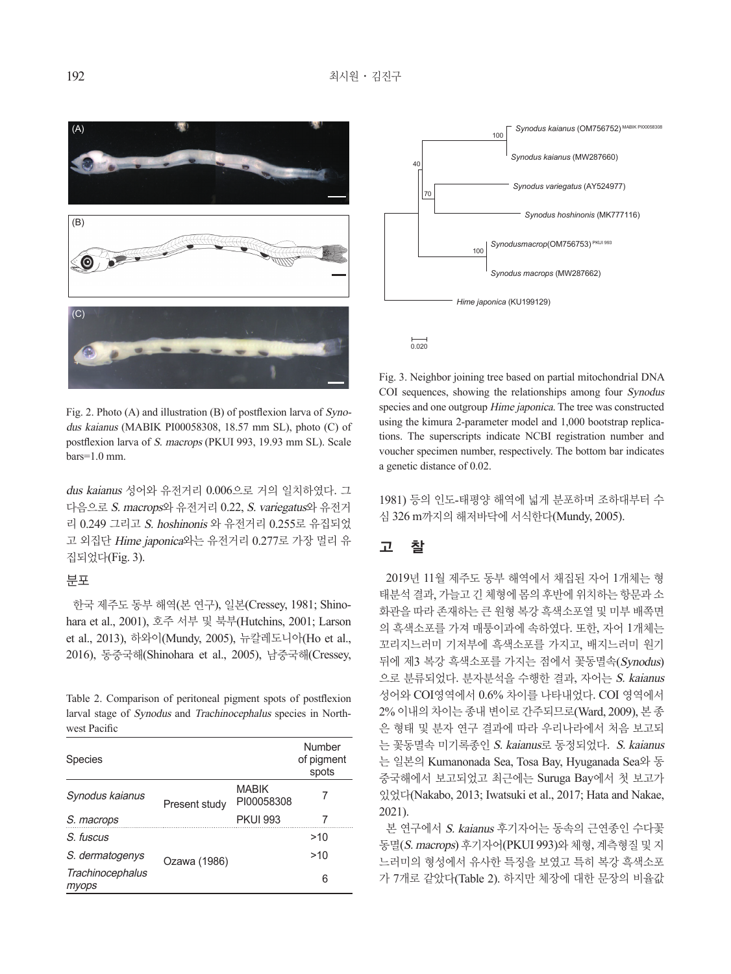

Fig. 2. Photo (A) and illustration (B) of postflexion larva of Synodus kaianus (MABIK PI00058308, 18.57 mm SL), photo (C) of postflexion larva of S. macrops (PKUI 993, 19.93 mm SL). Scale bars=1.0 mm.

dus kaianus 성어와 유전거리 0.006으로 거의 일치하였다. 그 다음으로 *S. macrops*와 유전거리 0.22, *S. variegatus*와 유전거 리 0.249 그리고 S. hoshinonis 와 유전거리 0.255로 유집되었 고 외집단 *Hime japonica*와는 유전거리 0.277로 가장 멀리 유 집되었다(Fig. 3).

#### 분포

한국 제주도 동부 해역(본 연구), 일본(Cressey, 1981; Shinohara et al., 2001), 호주 서부 및 북부(Hutchins, 2001; Larson et al., 2013), 하와이(Mundy, 2005), 뉴칼레도니아(Ho et al., 2016), 동중국해(Shinohara et al., 2005), 남중국해(Cressey,

Table 2. Comparison of peritoneal pigment spots of postflexion larval stage of Synodus and Trachinocephalus species in Northwest Pacific

| <b>Species</b>            |               |                            | Number<br>of pigment<br>spots |
|---------------------------|---------------|----------------------------|-------------------------------|
| Synodus kaianus           | Present study | <b>MABIK</b><br>PI00058308 |                               |
| S. macrops                |               | <b>PKUI 993</b>            |                               |
| S fuscus                  | Ozawa (1986)  |                            | >10                           |
| S. dermatogenys           |               |                            | >10                           |
| Trachinocephalus<br>myops |               |                            | 6                             |



Fig. 3. Neighbor joining tree based on partial mitochondrial DNA COI sequences, showing the relationships among four Synodus species and one outgroup Hime japonica. The tree was constructed using the kimura 2-parameter model and 1,000 bootstrap replications. The superscripts indicate NCBI registration number and voucher specimen number, respectively. The bottom bar indicates a genetic distance of 0.02.

1981) 등의 인도-태평양 해역에 넓게 분포하며 조하대부터 수 심 326 m까지의 해저바닥에 서식한다(Mundy, 2005).

## 고 찰

2019년 11월 제주도 동부 해역에서 채집된 자어 1개체는 형 태분석 결과, 가늘고 긴 체형에 몸의 후반에 위치하는 항문과 소 화관을 따라 존재하는 큰 원형 복강 흑색소포열 및 미부 배쪽면 의 흑색소포를 가져 매퉁이과에 속하였다. 또한, 자어 1개체는 꼬리지느러미 기저부에 흑색소포를 가지고, 배지느러미 원기 뒤에 제3 복강 흑색소포를 가지는 점에서 꽃동멸속(Synodus) 으로 분류되었다. 분자분석을 수행한 결과, 자어는 S. kaianus 성어와 COI영역에서 0.6% 차이를 나타내었다. COI 영역에서 2% 이내의 차이는 종내 변이로 간주되므로(Ward, 2009), 본 종 은 형태 및 분자 연구 결과에 따라 우리나라에서 처음 보고되 는 꽃동멸속 미기록종인 S. kaianus로 동정되었다. S. kaianus 는 일본의 Kumanonada Sea, Tosa Bay, Hyuganada Sea와 동 중국해에서 보고되었고 최근에는 Suruga Bay에서 첫 보고가 있었다(Nakabo, 2013; Iwatsuki et al., 2017; Hata and Nakae, 2021).

본 연구에서 S. kaianus 후기자어는 동속의 근연종인 수다꽃 동멸(S. macrops) 후기자어(PKUI 993)와 체형, 계측형질 및 지 느러미의 형성에서 유사한 특징을 보였고 특히 복강 흑색소포 가 7개로 같았다(Table 2). 하지만 체장에 대한 문장의 비율값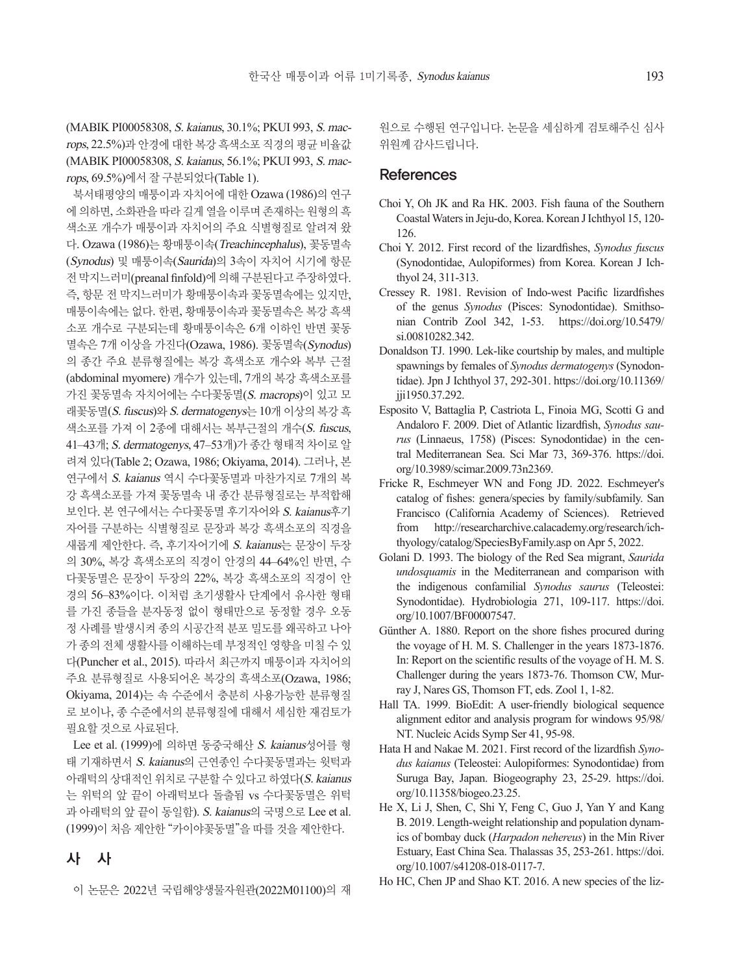(MABIK PI00058308, S. kaianus, 30.1%; PKUI 993, S. macrops, 22.5%)과 안경에 대한 복강 흑색소포 직경의 평균 비율값 (MABIK PI00058308, S. kaianus, 56.1%; PKUI 993, S. macrops, 69.5%)에서 잘 구분되었다(Table 1).

북서태평양의 매퉁이과 자치어에 대한 Ozawa (1986)의 연구 에 의하면, 소화관을 따라 길게 열을 이루며 존재하는 원형의 흑 색소포 개수가 매퉁이과 자치어의 주요 식별형질로 알려져 왔 다. Ozawa (1986)는 황매퉁이속(Treachincephalus), 꽃동멸속 (Synodus) 및 매퉁이속(Saurida)의 3속이 자치어 시기에 항문 전 막지느러미(preanal finfold)에 의해 구분된다고 주장하였다. 즉, 항문 전 막지느러미가 황매퉁이속과 꽃동멸속에는 있지만, 매퉁이속에는 없다. 한편, 황매퉁이속과 꽃동멸속은 복강 흑색 소포 개수로 구분되는데 황매퉁이속은 6개 이하인 반면 꽃동 멸속은 7개 이상을 가진다(Ozawa, 1986). 꽃동멸속(Synodus) 의 종간 주요 분류형질에는 복강 흑색소포 개수와 복부 근절 (abdominal myomere) 개수가 있는데, 7개의 복강 흑색소포를 가진 꽃동멸속 자치어에는 수다꽃동멸(S. macrops)이 있고 모 래꽃동멸(S. fuscus)와 S. dermatogenys는 10개 이상의 복강 흑 색소포를 가져 이 2종에 대해서는 복부근절의 개수(S. fuscus, 41–43개; S. dermatogenys, 47–53개)가 종간 형태적 차이로 알 려져 있다(Table 2; Ozawa, 1986; Okiyama, 2014). 그러나, 본 연구에서 S. kaianus 역시 수다꽃동멸과 마찬가지로 7개의 복 강 흑색소포를 가져 꽃동멸속 내 종간 분류형질로는 부적합해 보인다. 본 연구에서는 수다꽃동멸 후기자어와 S. kaianus후기 자어를 구분하는 식별형질로 문장과 복강 흑색소포의 직경을 새롭게 제안한다. 즉, 후기자어기에 S. kaianus는 문장이 두장 의 30%, 복강 흑색소포의 직경이 안경의 44–64%인 반면, 수 다꽃동멸은 문장이 두장의 22%, 복강 흑색소포의 직경이 안 경의 56–83%이다. 이처럼 초기생활사 단계에서 유사한 형태 를 가진 종들을 분자동정 없이 형태만으로 동정할 경우 오동 정 사례를 발생시켜 종의 시공간적 분포 밀도를 왜곡하고 나아 가 종의 전체 생활사를 이해하는데 부정적인 영향을 미칠 수 있 다(Puncher et al., 2015). 따라서 최근까지 매퉁이과 자치어의 주요 분류형질로 사용되어온 복강의 흑색소포(Ozawa, 1986; Okiyama, 2014)는 속 수준에서 충분히 사용가능한 분류형질 로 보이나, 종 수준에서의 분류형질에 대해서 세심한 재검토가 필요할 것으로 사료된다.

Lee et al. (1999)에 의하면 동중국해산 S. kaianus성어를 형 태 기재하면서 S. kaianus의 근연종인 수다꽃동멸과는 윗턱과 아래턱의 상대적인 위치로 구분할 수 있다고 하였다(S. kaianus 는 위턱의 앞 끝이 아래턱보다 돌출됨 vs 수다꽃동멸은 위턱 과 아래턱의 앞 끝이 동일함). S. kaianus의 국명으로 Lee et al. (1999)이 처음 제안한 "카이야꽃동멸"을 따를 것을 제안한다.

### 사 사

이 논문은 2022년 국립해양생물자원관(2022M01100)의 재

원으로 수행된 연구입니다. 논문을 세심하게 검토해주신 심사 위원께 감사드립니다.

#### References

- Choi Y, Oh JK and Ra HK. 2003. Fish fauna of the Southern Coastal Waters in Jeju-do, Korea. Korean J Ichthyol 15, 120- 126.
- Choi Y. 2012. First record of the lizardfishes, *Synodus fuscus* (Synodontidae, Aulopiformes) from Korea. Korean J Ichthyol 24, 311-313.
- Cressey R. 1981. Revision of Indo-west Pacific lizardfishes of the genus *Synodus* (Pisces: Synodontidae). Smithsonian Contrib Zool 342, 1-53. https://doi.org/10.5479/ si.00810282.342.
- Donaldson TJ. 1990. Lek-like courtship by males, and multiple spawnings by females of *Synodus dermatogenys* (Synodontidae). Jpn J Ichthyol 37, 292-301. https://doi.org/10.11369/ jji1950.37.292.
- Esposito V, Battaglia P, Castriota L, Finoia MG, Scotti G and Andaloro F. 2009. Diet of Atlantic lizardfish, *Synodus saurus* (Linnaeus, 1758) (Pisces: Synodontidae) in the central Mediterranean Sea. Sci Mar 73, 369-376. https://doi. org/10.3989/scimar.2009.73n2369.
- Fricke R, Eschmeyer WN and Fong JD. 2022. Eschmeyer's catalog of fishes: genera/species by family/subfamily. San Francisco (California Academy of Sciences). Retrieved from http://researcharchive.calacademy.org/research/ichthyology/catalog/SpeciesByFamily.asp on Apr 5, 2022.
- Golani D. 1993. The biology of the Red Sea migrant, *Saurida undosquamis* in the Mediterranean and comparison with the indigenous confamilial *Synodus saurus* (Teleostei: Synodontidae). Hydrobiologia 271, 109-117. https://doi. org/10.1007/BF00007547.
- Günther A. 1880. Report on the shore fishes procured during the voyage of H. M. S. Challenger in the years 1873-1876. In: Report on the scientific results of the voyage of H. M. S. Challenger during the years 1873-76. Thomson CW, Murray J, Nares GS, Thomson FT, eds. Zool 1, 1-82.
- Hall TA. 1999. BioEdit: A user-friendly biological sequence alignment editor and analysis program for windows 95/98/ NT. Nucleic Acids Symp Ser 41, 95-98.
- Hata H and Nakae M. 2021. First record of the lizardfish *Synodus kaianus* (Teleostei: Aulopiformes: Synodontidae) from Suruga Bay, Japan. Biogeography 23, 25-29. https://doi. org/10.11358/biogeo.23.25.
- He X, Li J, Shen, C, Shi Y, Feng C, Guo J, Yan Y and Kang B. 2019. Length-weight relationship and population dynamics of bombay duck (*Harpadon nehereus*) in the Min River Estuary, East China Sea. Thalassas 35, 253-261. https://doi. org/10.1007/s41208-018-0117-7.
- Ho HC, Chen JP and Shao KT. 2016. A new species of the liz-